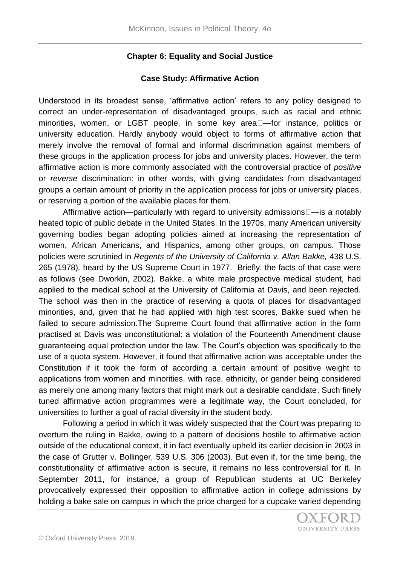## **Chapter 6: Equality and Social Justice**

### **Case Study: Affirmative Action**

Understood in its broadest sense, 'affirmative action' refers to any policy designed to correct an under-representation of disadvantaged groups, such as racial and ethnic minorities, women, or LGBT people, in some key area□—for instance, politics or university education. Hardly anybody would object to forms of affirmative action that merely involve the removal of formal and informal discrimination against members of these groups in the application process for jobs and university places. However, the term affirmative action is more commonly associated with the controversial practice of *positive* or *reverse* discrimination: in other words, with giving candidates from disadvantaged groups a certain amount of priority in the application process for jobs or university places, or reserving a portion of the available places for them*.*

Affirmative action—particularly with regard to university admissions $\square$ —is a notably heated topic of public debate in the United States. In the 1970s, many American university governing bodies began adopting policies aimed at increasing the representation of women, African Americans, and Hispanics, among other groups, on campus. Those policies were scrutinied in *Regents of the University of California v. Allan Bakke,* 438 U.S. 265 (1978)*,* heard by the US Supreme Court in 1977. Briefly, the facts of that case were as follows (see Dworkin, 2002). Bakke, a white male prospective medical student, had applied to the medical school at the University of California at Davis, and been rejected. The school was then in the practice of reserving a quota of places for disadvantaged minorities, and, given that he had applied with high test scores, Bakke sued when he failed to secure admission.The Supreme Court found that affirmative action in the form practised at Davis was unconstitutional: a violation of the Fourteenth Amendment clause guaranteeing equal protection under the law. The Court's objection was specifically to the use of a quota system. However, it found that affirmative action was acceptable under the Constitution if it took the form of according a certain amount of positive weight to applications from women and minorities, with race, ethnicity, or gender being considered as merely one among many factors that might mark out a desirable candidate. Such finely tuned affirmative action programmes were a legitimate way, the Court concluded, for universities to further a goal of racial diversity in the student body.

Following a period in which it was widely suspected that the Court was preparing to overturn the ruling in Bakke, owing to a pattern of decisions hostile to affirmative action outside of the educational context, it in fact eventually upheld its earlier decision in 2003 in the case of Grutter v. Bollinger, 539 U.S. 306 (2003). But even if, for the time being, the constitutionality of affirmative action is secure, it remains no less controversial for it. In September 2011, for instance, a group of Republican students at UC Berkeley provocatively expressed their opposition to affirmative action in college admissions by holding a bake sale on campus in which the price charged for a cupcake varied depending

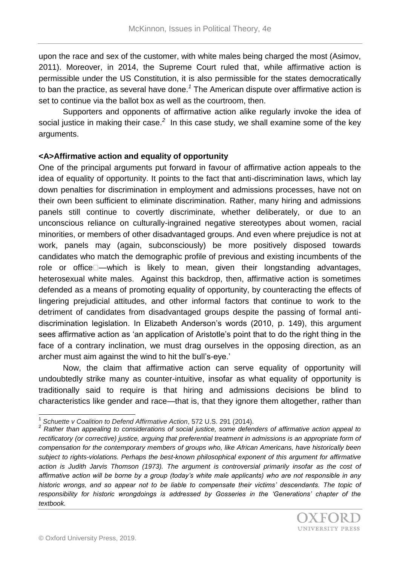upon the race and sex of the customer, with white males being charged the most (Asimov, 2011). Moreover, in 2014, the Supreme Court ruled that, while affirmative action is permissible under the US Constitution, it is also permissible for the states democratically to ban the practice, as several have done.*<sup>1</sup>* The American dispute over affirmative action is set to continue via the ballot box as well as the courtroom, then.

Supporters and opponents of affirmative action alike regularly invoke the idea of social justice in making their case.<sup>2</sup> In this case study, we shall examine some of the key arguments.

#### **<A>Affirmative action and equality of opportunity**

One of the principal arguments put forward in favour of affirmative action appeals to the idea of equality of opportunity. It points to the fact that anti-discrimination laws, which lay down penalties for discrimination in employment and admissions processes, have not on their own been sufficient to eliminate discrimination. Rather, many hiring and admissions panels still continue to covertly discriminate, whether deliberately, or due to an unconscious reliance on culturally-ingrained negative stereotypes about women, racial minorities, or members of other disadvantaged groups. And even where prejudice is not at work, panels may (again, subconsciously) be more positively disposed towards candidates who match the demographic profile of previous and existing incumbents of the role or office -- which is likely to mean, given their longstanding advantages, heterosexual white males. Against this backdrop, then, affirmative action is sometimes defended as a means of promoting equality of opportunity, by counteracting the effects of lingering prejudicial attitudes, and other informal factors that continue to work to the detriment of candidates from disadvantaged groups despite the passing of formal antidiscrimination legislation. In Elizabeth Anderson's words (2010, p. 149), this argument sees affirmative action as 'an application of Aristotle's point that to do the right thing in the face of a contrary inclination, we must drag ourselves in the opposing direction, as an archer must aim against the wind to hit the bull's-eye.'

Now, the claim that affirmative action can serve equality of opportunity will undoubtedly strike many as counter-intuitive, insofar as what equality of opportunity is traditionally said to require is that hiring and admissions decisions be blind to characteristics like gender and race—that is, that they ignore them altogether, rather than

 $\overline{\phantom{a}}$ 1 *Schuette v Coalition to Defend Affirmative Action*, 572 U.S. 291 (2014).

<sup>2</sup> *Rather than appealing to considerations of social justice, some defenders of affirmative action appeal to*  rectificatory (or corrective) justice, arguing that preferential treatment in admissions is an appropriate form of *compensation for the contemporary members of groups who, like African Americans, have historically been subject to rights-violations. Perhaps the best-known philosophical exponent of this argument for affirmative*  action is Judith Jarvis Thomson (1973). The argument is controversial primarily insofar as the cost of *affirmative action will be borne by a group (today's white male applicants) who are not responsible in any historic wrongs, and so appear not to be liable to compensate their victims' descendants. The topic of responsibility for historic wrongdoings is addressed by Gosseries in the 'Generations' chapter of the textbook.*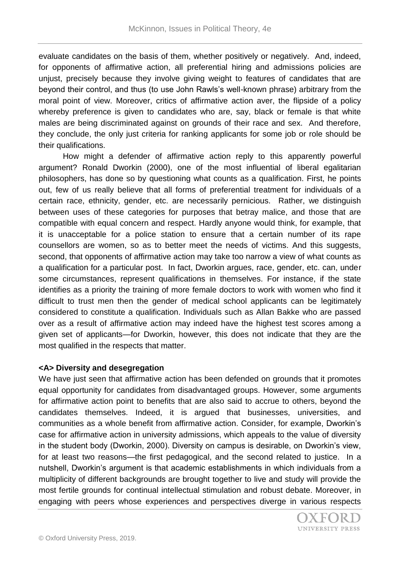evaluate candidates on the basis of them, whether positively or negatively. And, indeed, for opponents of affirmative action, all preferential hiring and admissions policies are unjust, precisely because they involve giving weight to features of candidates that are beyond their control, and thus (to use John Rawls's well-known phrase) arbitrary from the moral point of view. Moreover, critics of affirmative action aver, the flipside of a policy whereby preference is given to candidates who are, say, black or female is that white males are being discriminated against on grounds of their race and sex. And therefore, they conclude, the only just criteria for ranking applicants for some job or role should be their qualifications.

How might a defender of affirmative action reply to this apparently powerful argument? Ronald Dworkin (2000), one of the most influential of liberal egalitarian philosophers, has done so by questioning what counts as a qualification. First, he points out, few of us really believe that all forms of preferential treatment for individuals of a certain race, ethnicity, gender, etc. are necessarily pernicious. Rather, we distinguish between uses of these categories for purposes that betray malice, and those that are compatible with equal concern and respect. Hardly anyone would think, for example, that it is unacceptable for a police station to ensure that a certain number of its rape counsellors are women, so as to better meet the needs of victims. And this suggests, second, that opponents of affirmative action may take too narrow a view of what counts as a qualification for a particular post. In fact, Dworkin argues, race, gender, etc. can, under some circumstances, represent qualifications in themselves. For instance, if the state identifies as a priority the training of more female doctors to work with women who find it difficult to trust men then the gender of medical school applicants can be legitimately considered to constitute a qualification. Individuals such as Allan Bakke who are passed over as a result of affirmative action may indeed have the highest test scores among a given set of applicants—for Dworkin, however, this does not indicate that they are the most qualified in the respects that matter.

# **<A> Diversity and desegregation**

We have just seen that affirmative action has been defended on grounds that it promotes equal opportunity for candidates from disadvantaged groups. However, some arguments for affirmative action point to benefits that are also said to accrue to others, beyond the candidates themselves. Indeed, it is argued that businesses, universities, and communities as a whole benefit from affirmative action. Consider, for example, Dworkin's case for affirmative action in university admissions, which appeals to the value of diversity in the student body (Dworkin, 2000). Diversity on campus is desirable, on Dworkin's view, for at least two reasons—the first pedagogical, and the second related to justice. In a nutshell, Dworkin's argument is that academic establishments in which individuals from a multiplicity of different backgrounds are brought together to live and study will provide the most fertile grounds for continual intellectual stimulation and robust debate. Moreover, in engaging with peers whose experiences and perspectives diverge in various respects

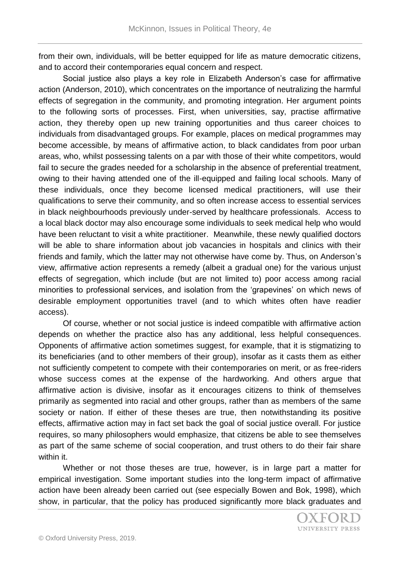from their own, individuals, will be better equipped for life as mature democratic citizens, and to accord their contemporaries equal concern and respect.

Social justice also plays a key role in Elizabeth Anderson's case for affirmative action (Anderson, 2010), which concentrates on the importance of neutralizing the harmful effects of segregation in the community, and promoting integration. Her argument points to the following sorts of processes. First, when universities, say, practise affirmative action, they thereby open up new training opportunities and thus career choices to individuals from disadvantaged groups. For example, places on medical programmes may become accessible, by means of affirmative action, to black candidates from poor urban areas, who, whilst possessing talents on a par with those of their white competitors, would fail to secure the grades needed for a scholarship in the absence of preferential treatment, owing to their having attended one of the ill-equipped and failing local schools. Many of these individuals, once they become licensed medical practitioners, will use their qualifications to serve their community, and so often increase access to essential services in black neighbourhoods previously under-served by healthcare professionals. Access to a local black doctor may also encourage some individuals to seek medical help who would have been reluctant to visit a white practitioner. Meanwhile, these newly qualified doctors will be able to share information about job vacancies in hospitals and clinics with their friends and family, which the latter may not otherwise have come by. Thus, on Anderson's view, affirmative action represents a remedy (albeit a gradual one) for the various unjust effects of segregation, which include (but are not limited to) poor access among racial minorities to professional services, and isolation from the 'grapevines' on which news of desirable employment opportunities travel (and to which whites often have readier access).

Of course, whether or not social justice is indeed compatible with affirmative action depends on whether the practice also has any additional, less helpful consequences. Opponents of affirmative action sometimes suggest, for example, that it is stigmatizing to its beneficiaries (and to other members of their group), insofar as it casts them as either not sufficiently competent to compete with their contemporaries on merit, or as free-riders whose success comes at the expense of the hardworking. And others argue that affirmative action is divisive, insofar as it encourages citizens to think of themselves primarily as segmented into racial and other groups, rather than as members of the same society or nation. If either of these theses are true, then notwithstanding its positive effects, affirmative action may in fact set back the goal of social justice overall. For justice requires, so many philosophers would emphasize, that citizens be able to see themselves as part of the same scheme of social cooperation, and trust others to do their fair share within it.

Whether or not those theses are true, however, is in large part a matter for empirical investigation. Some important studies into the long-term impact of affirmative action have been already been carried out (see especially Bowen and Bok, 1998), which show, in particular, that the policy has produced significantly more black graduates and